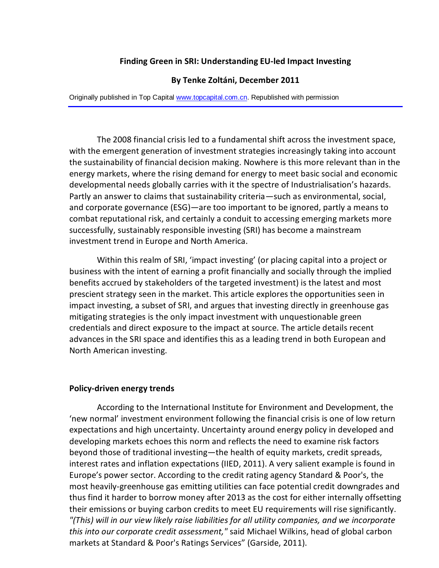## **Finding Green in SRI: Understanding EU-led Impact Investing**

#### **By Tenke Zoltáni, December 2011**

Originally published in Top Ca[pital www.topcapital.co](http://www.topcapital.com.cn/)m.cn. Republished with permission

The 2008 financial crisis led to a fundamental shift across the investment space, with the emergent generation of investment strategies increasingly taking into account the sustainability of financial decision making. Nowhere is this more relevant than in the energy markets, where the rising demand for energy to meet basic social and economic developmental needs globally carries with it the spectre of Industrialisation's hazards. Partly an answer to claims that sustainability criteria—such as environmental, social, and corporate governance (ESG)—are too important to be ignored, partly a means to combat reputational risk, and certainly a conduit to accessing emerging markets more successfully, sustainably responsible investing (SRI) has become a mainstream investment trend in Europe and North America.

Within this realm of SRI, 'impact investing' (or placing capital into a project or business with the intent of earning a profit financially and socially through the implied benefits accrued by stakeholders of the targeted investment) is the latest and most prescient strategy seen in the market. This article explores the opportunities seen in impact investing, a subset of SRI, and argues that investing directly in greenhouse gas mitigating strategies is the only impact investment with unquestionable green credentials and direct exposure to the impact at source. The article details recent advances in the SRI space and identifies this as a leading trend in both European and North American investing.

## **Policy-driven energy trends**

According to the International Institute for Environment and Development, the 'new normal' investment environment following the financial crisis is one of low return expectations and high uncertainty. Uncertainty around energy policy in developed and developing markets echoes this norm and reflects the need to examine risk factors beyond those of traditional investing—the health of equity markets, credit spreads, interest rates and inflation expectations (IIED, 2011). A very salient example is found in Europe's power sector. According to the credit rating agency Standard & Poor's, the most heavily-greenhouse gas emitting utilities can face potential credit downgrades and thus find it harder to borrow money after 2013 as the cost for either internally offsetting their emissions or buying carbon credits to meet EU requirements will rise significantly. *"(This) will in our view likely raise liabilities for all utility companies, and we incorporate this into our corporate credit assessment,"* said Michael Wilkins, head of global carbon markets at Standard & Poor's Ratings Services" (Garside, 2011).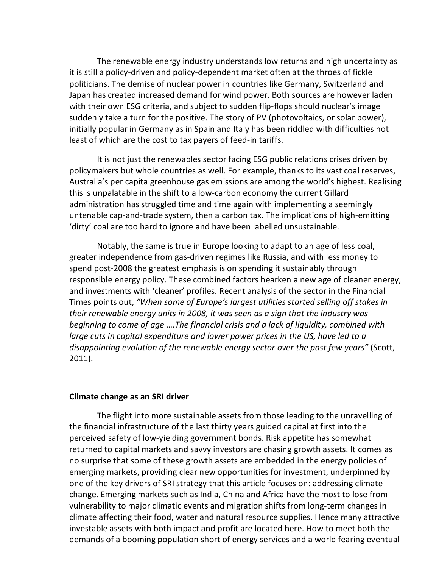The renewable energy industry understands low returns and high uncertainty as it is still a policy-driven and policy-dependent market often at the throes of fickle politicians. The demise of nuclear power in countries like Germany, Switzerland and Japan has created increased demand for wind power. Both sources are however laden with their own ESG criteria, and subject to sudden flip-flops should nuclear's image suddenly take a turn for the positive. The story of PV (photovoltaics, or solar power), initially popular in Germany as in Spain and Italy has been riddled with difficulties not least of which are the cost to tax payers of feed-in tariffs.

It is not just the renewables sector facing ESG public relations crises driven by policymakers but whole countries as well. For example, thanks to its vast coal reserves, Australia's per capita greenhouse gas emissions are among the world's highest. Realising this is unpalatable in the shift to a low-carbon economy the current Gillard administration has struggled time and time again with implementing a seemingly untenable cap-and-trade system, then a carbon tax. The implications of high-emitting 'dirty' coal are too hard to ignore and have been labelled unsustainable.

Notably, the same is true in Europe looking to adapt to an age of less coal, greater independence from gas-driven regimes like Russia, and with less money to spend post-2008 the greatest emphasis is on spending it sustainably through responsible energy policy. These combined factors hearken a new age of cleaner energy, and investments with 'cleaner' profiles. Recent analysis of the sector in the Financial Times points out, *"When some of Europe's largest utilities started selling off stakes in their renewable energy units in 2008, it was seen as a sign that the industry was beginning to come of age ….The financial crisis and a lack of liquidity, combined with large cuts in capital expenditure and lower power prices in the US, have led to a disappointing evolution of the renewable energy sector over the past few years"* (Scott, 2011).

### **Climate change as an SRI driver**

The flight into more sustainable assets from those leading to the unravelling of the financial infrastructure of the last thirty years guided capital at first into the perceived safety of low-yielding government bonds. Risk appetite has somewhat returned to capital markets and savvy investors are chasing growth assets. It comes as no surprise that some of these growth assets are embedded in the energy policies of emerging markets, providing clear new opportunities for investment, underpinned by one of the key drivers of SRI strategy that this article focuses on: addressing climate change. Emerging markets such as India, China and Africa have the most to lose from vulnerability to major climatic events and migration shifts from long-term changes in climate affecting their food, water and natural resource supplies. Hence many attractive investable assets with both impact and profit are located here. How to meet both the demands of a booming population short of energy services and a world fearing eventual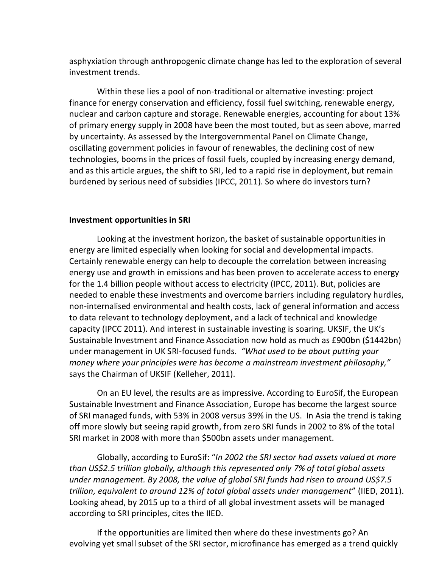asphyxiation through anthropogenic climate change has led to the exploration of several investment trends.

Within these lies a pool of non-traditional or alternative investing: project finance for energy conservation and efficiency, fossil fuel switching, renewable energy, nuclear and carbon capture and storage. Renewable energies, accounting for about 13% of primary energy supply in 2008 have been the most touted, but as seen above, marred by uncertainty. As assessed by the Intergovernmental Panel on Climate Change, oscillating government policies in favour of renewables, the declining cost of new technologies, booms in the prices of fossil fuels, coupled by increasing energy demand, and as this article argues, the shift to SRI, led to a rapid rise in deployment, but remain burdened by serious need of subsidies (IPCC, 2011). So where do investors turn?

# **Investment opportunities in SRI**

Looking at the investment horizon, the basket of sustainable opportunities in energy are limited especially when looking for social and developmental impacts. Certainly renewable energy can help to decouple the correlation between increasing energy use and growth in emissions and has been proven to accelerate access to energy for the 1.4 billion people without access to electricity (IPCC, 2011). But, policies are needed to enable these investments and overcome barriers including regulatory hurdles, non-internalised environmental and health costs, lack of general information and access to data relevant to technology deployment, and a lack of technical and knowledge capacity (IPCC 2011). And interest in sustainable investing is soaring. UKSIF, the UK's Sustainable Investment and Finance Association now hold as much as £900bn (\$1442bn) under management in UK SRI-focused funds. *"What used to be about putting your money where your principles were has become a mainstream investment philosophy,"* says the Chairman of UKSIF (Kelleher, 2011).

On an EU level, the results are as impressive. According to EuroSif, the European Sustainable Investment and Finance Association, Europe has become the largest source of SRI managed funds, with 53% in 2008 versus 39% in the US. In Asia the trend is taking off more slowly but seeing rapid growth, from zero SRI funds in 2002 to 8% of the total SRI market in 2008 with more than \$500bn assets under management.

Globally, according to EuroSif: "*In 2002 the SRI sector had assets valued at more than US\$2.5 trillion globally, although this represented only 7% of total global assets under management. By 2008, the value of global SRI funds had risen to around US\$7.5 trillion, equivalent to around 12% of total global assets under management*" (IIED, 2011). Looking ahead, by 2015 up to a third of all global investment assets will be managed according to SRI principles, cites the IIED.

If the opportunities are limited then where do these investments go? An evolving yet small subset of the SRI sector, microfinance has emerged as a trend quickly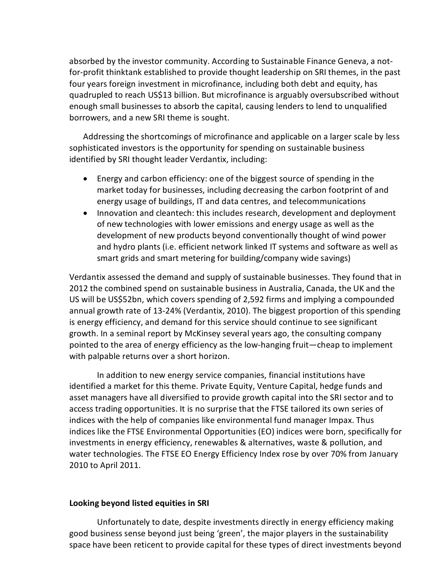absorbed by the investor community. According to Sustainable Finance Geneva, a notfor-profit thinktank established to provide thought leadership on SRI themes, in the past four years foreign investment in microfinance, including both debt and equity, has quadrupled to reach US\$13 billion. But microfinance is arguably oversubscribed without enough small businesses to absorb the capital, causing lenders to lend to unqualified borrowers, and a new SRI theme is sought.

Addressing the shortcomings of microfinance and applicable on a larger scale by less sophisticated investors is the opportunity for spending on sustainable business identified by SRI thought leader Verdantix, including:

- Energy and carbon efficiency: one of the biggest source of spending in the market today for businesses, including decreasing the carbon footprint of and energy usage of buildings, IT and data centres, and telecommunications
- Innovation and cleantech: this includes research, development and deployment of new technologies with lower emissions and energy usage as well as the development of new products beyond conventionally thought of wind power and hydro plants (i.e. efficient network linked IT systems and software as well as smart grids and smart metering for building/company wide savings)

Verdantix assessed the demand and supply of sustainable businesses. They found that in 2012 the combined spend on sustainable business in Australia, Canada, the UK and the US will be US\$52bn, which covers spending of 2,592 firms and implying a compounded annual growth rate of 13-24% (Verdantix, 2010). The biggest proportion of this spending is energy efficiency, and demand for this service should continue to see significant growth. In a seminal report by McKinsey several years ago, the consulting company pointed to the area of energy efficiency as the low-hanging fruit—cheap to implement with palpable returns over a short horizon.

In addition to new energy service companies, financial institutions have identified a market for this theme. Private Equity, Venture Capital, hedge funds and asset managers have all diversified to provide growth capital into the SRI sector and to access trading opportunities. It is no surprise that the FTSE tailored its own series of indices with the help of companies like environmental fund manager Impax. Thus indices like the FTSE Environmental Opportunities (EO) indices were born, specifically for investments in energy efficiency, renewables & alternatives, waste & pollution, and water technologies. The FTSE EO Energy Efficiency Index rose by over 70% from January 2010 to April 2011.

### **Looking beyond listed equities in SRI**

Unfortunately to date, despite investments directly in energy efficiency making good business sense beyond just being 'green', the major players in the sustainability space have been reticent to provide capital for these types of direct investments beyond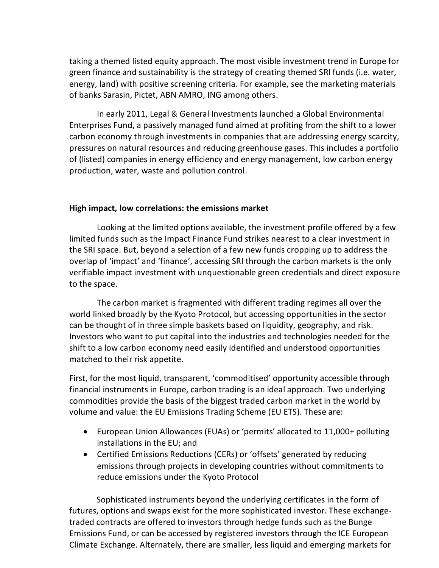taking a themed listed equity approach. The most visible investment trend in Europe for green finance and sustainability is the strategy of creating themed SRI funds (i.e. water, energy, land) with positive screening criteria. For example, see the marketing materials of banks Sarasin, Pictet, ABN AMRO, ING among others.

In early 2011, Legal & General Investments launched a Global Environmental Enterprises Fund, a passively managed fund aimed at profiting from the shift to a lower carbon economy through investments in companies that are addressing energy scarcity, pressures on natural resources and reducing greenhouse gases. This includes a portfolio of (listed) companies in energy efficiency and energy management, low carbon energy production, water, waste and pollution control.

## **High impact, low correlations: the emissions market**

Looking at the limited options available, the investment profile offered by a few limited funds such as the Impact Finance Fund strikes nearest to a clear investment in the SRI space. But, beyond a selection of a few new funds cropping up to address the overlap of 'impact' and 'finance', accessing SRI through the carbon markets is the only verifiable impact investment with unquestionable green credentials and direct exposure to the space.

The carbon market is fragmented with different trading regimes all over the world linked broadly by the Kyoto Protocol, but accessing opportunities in the sector can be thought of in three simple baskets based on liquidity, geography, and risk. Investors who want to put capital into the industries and technologies needed for the shift to a low carbon economy need easily identified and understood opportunities matched to their risk appetite.

First, for the most liquid, transparent, 'commoditised' opportunity accessible through financial instruments in Europe, carbon trading is an ideal approach. Two underlying commodities provide the basis of the biggest traded carbon market in the world by volume and value: the EU Emissions Trading Scheme (EU ETS). These are:

- European Union Allowances (EUAs) or 'permits' allocated to 11,000+ polluting installations in the EU; and
- Certified Emissions Reductions (CERs) or 'offsets' generated by reducing emissions through projects in developing countries without commitments to reduce emissions under the Kyoto Protocol

Sophisticated instruments beyond the underlying certificates in the form of futures, options and swaps exist for the more sophisticated investor. These exchangetraded contracts are offered to investors through hedge funds such as the Bunge Emissions Fund, or can be accessed by registered investors through the ICE European Climate Exchange. Alternately, there are smaller, less liquid and emerging markets for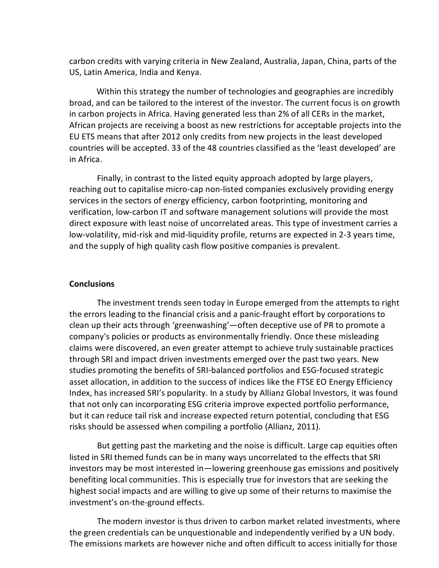carbon credits with varying criteria in New Zealand, Australia, Japan, China, parts of the US, Latin America, India and Kenya.

Within this strategy the number of technologies and geographies are incredibly broad, and can be tailored to the interest of the investor. The current focus is on growth in carbon projects in Africa. Having generated less than 2% of all CERs in the market, African projects are receiving a boost as new restrictions for acceptable projects into the EU ETS means that after 2012 only credits from new projects in the least developed countries will be accepted. 33 of the 48 countries classified as the 'least developed' are in Africa.

Finally, in contrast to the listed equity approach adopted by large players, reaching out to capitalise micro-cap non-listed companies exclusively providing energy services in the sectors of energy efficiency, carbon footprinting, monitoring and verification, low-carbon IT and software management solutions will provide the most direct exposure with least noise of uncorrelated areas. This type of investment carries a low-volatility, mid-risk and mid-liquidity profile, returns are expected in 2-3 years time, and the supply of high quality cash flow positive companies is prevalent.

### **Conclusions**

The investment trends seen today in Europe emerged from the attempts to right the errors leading to the financial crisis and a panic-fraught effort by corporations to clean up their acts through 'greenwashing'—often deceptive use of PR to promote a company's policies or products as environmentally friendly. Once these misleading claims were discovered, an even greater attempt to achieve truly sustainable practices through SRI and impact driven investments emerged over the past two years. New studies promoting the benefits of SRI-balanced portfolios and ESG-focused strategic asset allocation, in addition to the success of indices like the FTSE EO Energy Efficiency Index, has increased SRI's popularity. In a study by Allianz Global Investors, it was found that not only can incorporating ESG criteria improve expected portfolio performance, but it can reduce tail risk and increase expected return potential, concluding that ESG risks should be assessed when compiling a portfolio (Allianz, 2011).

But getting past the marketing and the noise is difficult. Large cap equities often listed in SRI themed funds can be in many ways uncorrelated to the effects that SRI investors may be most interested in—lowering greenhouse gas emissions and positively benefiting local communities. This is especially true for investors that are seeking the highest social impacts and are willing to give up some of their returns to maximise the investment's on-the-ground effects.

The modern investor is thus driven to carbon market related investments, where the green credentials can be unquestionable and independently verified by a UN body. The emissions markets are however niche and often difficult to access initially for those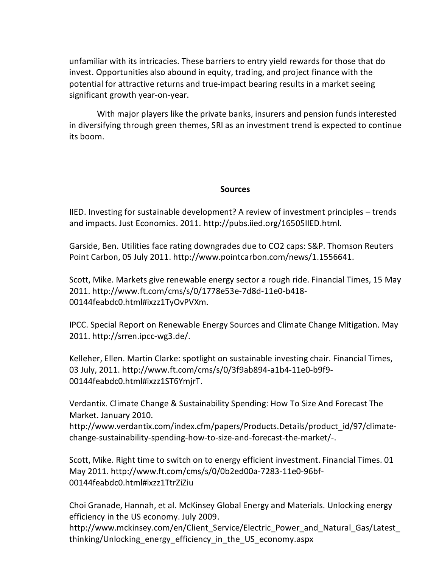unfamiliar with its intricacies. These barriers to entry yield rewards for those that do invest. Opportunities also abound in equity, trading, and project finance with the potential for attractive returns and true-impact bearing results in a market seeing significant growth year-on-year.

With major players like the private banks, insurers and pension funds interested in diversifying through green themes, SRI as an investment trend is expected to continue its boom.

## **Sources**

IIED. Investing for sustainable development? A review of investment principles – trends and impacts. Just Economics. 2011. http://pubs.iied.org/16505IIED.html.

Garside, Ben. Utilities fa[ce rating downgrades due to CO2 caps: S&P. T](http://www.pointcarbon.com/news/1.1556641)homson Reuters Point Carbon, 05 July 2011. http://www.pointcarbon.com/news/1.1556641.

Scott, Mike. [Markets give renewable energy sector a rough ride. Financial Times, 1](http://www.ft.com/cms/s/0/1778e53e-7d8d-11e0-b418-00144feabdc0.html#ixzz1TyOvPVXm)5 May 2011. http://www.ft.com/cms/s/0/1778e53e-7d8d-11e0-b418- 00144feabdc0.html#ixzz1TyOvPVXm.

IPCC. Special Report on Renewable Energy Sources and Climate Change Mitigation. May 2011. http:[//srren.ipcc-wg3.de/.](http://www.ft.com/cms/s/0/3f9ab894-a1b4-11e0-b9f9-00144feabdc0.html#ixzz1ST6YmjrT)

[Kelleher, Ellen. Martin Clarke: sp](http://www.ft.com/cms/s/0/3f9ab894-a1b4-11e0-b9f9-00144feabdc0.html#ixzz1ST6YmjrT)otlight on sustainable investing chair. Financial Times, 03 July, 2011. http://www.ft.com/cms/s/0/3f9ab894-a1b4-11e0-b9f9- 00144feabdc0.html#ixzz1ST6YmjrT.

[Verdantix. Climate Change & Sustainability Spending: How To Size And Forecast Th](http://www.verdantix.com/index.cfm/papers/Products.Details/product_id/97/climate-change-sustainability-spending-how-to-size-and-forecast-the-market/-)e Market. January 2010.

http://www.verdantix.com/index.cfm/papers/Products.Details/product\_id/97/climatechange-[sustainability-spending-how-to-size-and-forecast-the-market/-.](http://www.ft.com/cms/s/0/0b2ed00a-7283-11e0-96bf-00144feabdc0.html#ixzz1TtrZiZiu)

Scott, Mike. Right time to switch on to energy efficient investment. Financial Times. 01 May 2011. http://www.ft.com/cms/s/0/0b2ed00a-7283-11e0-96bf-[00144feabdc0.html#ixzz1TtrZiZiu](http://www.mckinsey.com/en/Client_Service/Electric_Power_and_Natural_Gas/Latest_thinking/Unlocking_energy_efficiency_in_the_US_economy.aspx)

[Choi Granade, Hannah, et al. McKinsey Global Energy and M](http://www.mckinsey.com/en/Client_Service/Electric_Power_and_Natural_Gas/Latest_thinking/Unlocking_energy_efficiency_in_the_US_economy.aspx)aterials. Unlocking energy efficiency in the US economy. July 2009.

http://www.mckinsey.com/en/Client\_Service/Electric\_Power\_and\_Natural\_Gas/Latest thinking/Unlocking\_energy\_efficiency\_in\_the\_US\_economy.aspx